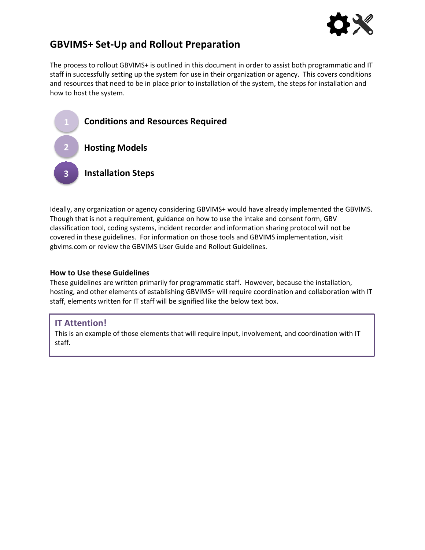

# **GBVIMS+ Set-Up and Rollout Preparation**

The process to rollout GBVIMS+ is outlined in this document in order to assist both programmatic and IT staff in successfully setting up the system for use in their organization or agency. This covers conditions and resources that need to be in place prior to installation of the system, the steps for installation and how to host the system.



Ideally, any organization or agency considering GBVIMS+ would have already implemented the GBVIMS. Though that is not a requirement, guidance on how to use the intake and consent form, GBV classification tool, coding systems, incident recorder and information sharing protocol will not be covered in these guidelines. For information on those tools and GBVIMS implementation, visit gbvims.com or review the GBVIMS User Guide and Rollout Guidelines.

### **How to Use these Guidelines**

These guidelines are written primarily for programmatic staff. However, because the installation, hosting, and other elements of establishing GBVIMS+ will require coordination and collaboration with IT staff, elements written for IT staff will be signified like the below text box.

## **IT Attention!**

This is an example of those elements that will require input, involvement, and coordination with IT staff.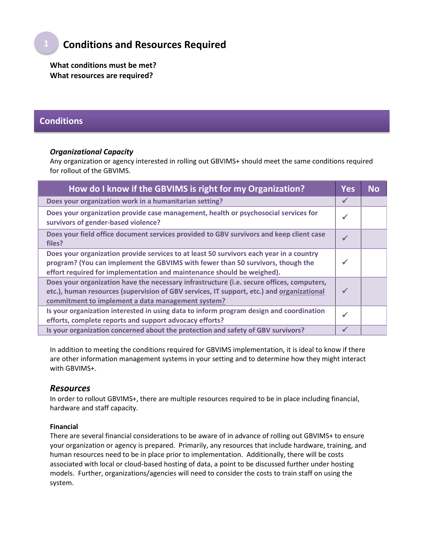# **Conditions and Resources Required**

**What conditions must be met? What resources are required?**

## **Conditions**

### *Organizational Capacity*

Any organization or agency interested in rolling out GBVIMS+ should meet the same conditions required for rollout of the GBVIMS.

| How do I know if the GBVIMS is right for my Organization?                                                                                                                                                                                            | <b>Yes</b>   | Nο |
|------------------------------------------------------------------------------------------------------------------------------------------------------------------------------------------------------------------------------------------------------|--------------|----|
| Does your organization work in a humanitarian setting?                                                                                                                                                                                               | $\checkmark$ |    |
| Does your organization provide case management, health or psychosocial services for<br>survivors of gender-based violence?                                                                                                                           | $\checkmark$ |    |
| Does your field office document services provided to GBV survivors and keep client case<br>files?                                                                                                                                                    | $\checkmark$ |    |
| Does your organization provide services to at least 50 survivors each year in a country<br>program? (You can implement the GBVIMS with fewer than 50 survivors, though the<br>effort required for implementation and maintenance should be weighed). | $\checkmark$ |    |
| Does your organization have the necessary infrastructure (i.e. secure offices, computers,<br>etc.), human resources (supervision of GBV services, IT support, etc.) and organizational<br>commitment to implement a data management system?          | $\checkmark$ |    |
| Is your organization interested in using data to inform program design and coordination<br>efforts, complete reports and support advocacy efforts?                                                                                                   | $\checkmark$ |    |
| Is your organization concerned about the protection and safety of GBV survivors?                                                                                                                                                                     | ✔            |    |

In addition to meeting the conditions required for GBVIMS implementation, it is ideal to know if there are other information management systems in your setting and to determine how they might interact with GBVIMS+.

### *Resources*

In order to rollout GBVIMS+, there are multiple resources required to be in place including financial, hardware and staff capacity.

#### **Financial**

There are several financial considerations to be aware of in advance of rolling out GBVIMS+ to ensure your organization or agency is prepared. Primarily, any resources that include hardware, training, and human resources need to be in place prior to implementation. Additionally, there will be costs associated with local or cloud-based hosting of data, a point to be discussed further under hosting models. Further, organizations/agencies will need to consider the costs to train staff on using the system.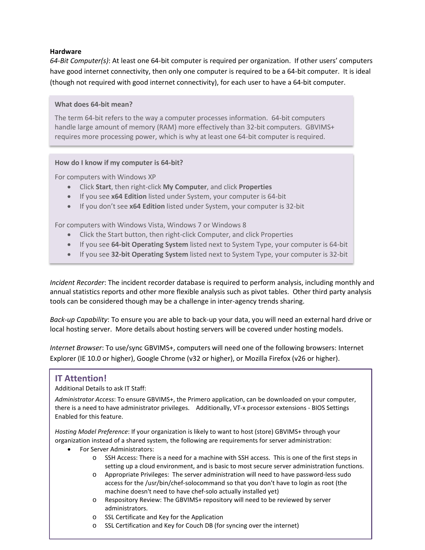#### **Hardware**

*64-Bit Computer(s)*: At least one 64-bit computer is required per organization. If other users' computers have good internet connectivity, then only one computer is required to be a 64-bit computer. It is ideal (though not required with good internet connectivity), for each user to have a 64-bit computer.

#### **What does 64-bit mean?**

The term 64-bit refers to the way a computer processes information. 64-bit computers handle large amount of memory (RAM) more effectively than 32-bit computers. GBVIMS+ requires more processing power, which is why at least one 64-bit computer is required.

#### **How do I know if my computer is 64-bit?**

For computers with Windows XP

- Click **Start**, then right-click **My Computer**, and click **Properties**
- If you see **x64 Edition** listed under System, your computer is 64-bit
- If you don't see **x64 Edition** listed under System, your computer is 32-bit

For computers with Windows Vista, Windows 7 or Windows 8

- Click the Start button, then right-click Computer, and click Properties
- If you see **64-bit Operating System** listed next to System Type, your computer is 64-bit
- If you see **32-bit Operating System** listed next to System Type, your computer is 32-bit

*Incident Recorder*: The incident recorder database is required to perform analysis, including monthly and annual statistics reports and other more flexible analysis such as pivot tables. Other third party analysis tools can be considered though may be a challenge in inter-agency trends sharing.

*Back-up Capability*: To ensure you are able to back-up your data, you will need an external hard drive or local hosting server. More details about hosting servers will be covered under hosting models.

*Internet Browser*: To use/sync GBVIMS+, computers will need one of the following browsers: Internet Explorer (IE 10.0 or higher), Google Chrome (v32 or higher), or Mozilla Firefox (v26 or higher).

### **IT Attention!**

Additional Details to ask IT Staff:

*Administrator Access*: To ensure GBVIMS+, the Primero application, can be downloaded on your computer, there is a need to have administrator privileges. Additionally, VT-x processor extensions - BIOS Settings Enabled for this feature.

*Hosting Model Preference*: If your organization is likely to want to host (store) GBVIMS+ through your organization instead of a shared system, the following are requirements for server administration:

- For Server Administrators:
	- o SSH Access: There is a need for a machine with SSH access. This is one of the first steps in setting up a cloud environment, and is basic to most secure server administration functions.
	- o Appropriate Privileges: The server administration will need to have password-less sudo access for the /usr/bin/chef-solocommand so that you don't have to login as root (the machine doesn't need to have chef-solo actually installed yet)
	- o Respository Review: The GBVIMS+ repository will need to be reviewed by server administrators.
	- o SSL Certificate and Key for the Application
	- o SSL Certification and Key for Couch DB (for syncing over the internet)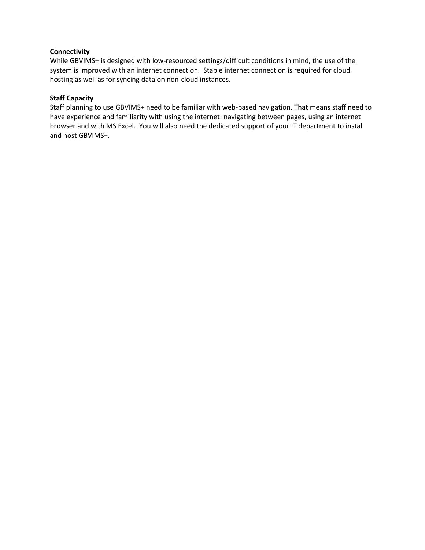### **Connectivity**

While GBVIMS+ is designed with low-resourced settings/difficult conditions in mind, the use of the system is improved with an internet connection. Stable internet connection is required for cloud hosting as well as for syncing data on non-cloud instances.

### **Staff Capacity**

Staff planning to use GBVIMS+ need to be familiar with web-based navigation. That means staff need to have experience and familiarity with using the internet: navigating between pages, using an internet browser and with MS Excel. You will also need the dedicated support of your IT department to install and host GBVIMS+.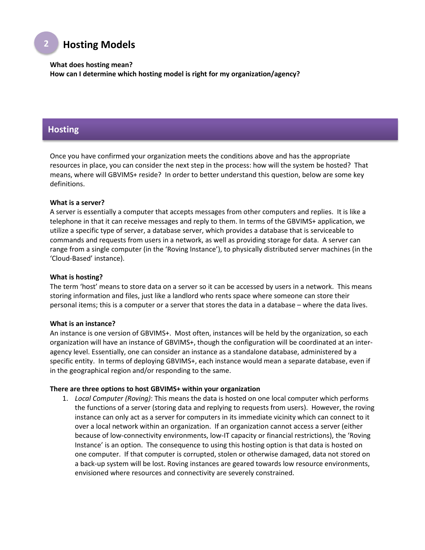# **Hosting Models**

**What does hosting mean?**

**How can I determine which hosting model is right for my organization/agency?**

### **Hosting**

**2**

Once you have confirmed your organization meets the conditions above and has the appropriate resources in place, you can consider the next step in the process: how will the system be hosted? That means, where will GBVIMS+ reside? In order to better understand this question, below are some key definitions.

#### **What is a server?**

A server is essentially a computer that accepts messages from other computers and replies. It is like a telephone in that it can receive messages and reply to them. In terms of the GBVIMS+ application, we utilize a specific type of server, a database server, which provides a database that is serviceable to commands and requests from users in a network, as well as providing storage for data. A server can range from a single computer (in the 'Roving Instance'), to physically distributed server machines (in the 'Cloud-Based' instance).

#### **What is hosting?**

The term 'host' means to store data on a server so it can be accessed by users in a network. This means storing information and files, just like a landlord who rents space where someone can store their personal items; this is a computer or a server that stores the data in a database – where the data lives.

#### **What is an instance?**

An instance is one version of GBVIMS+. Most often, instances will be held by the organization, so each organization will have an instance of GBVIMS+, though the configuration will be coordinated at an interagency level. Essentially, one can consider an instance as a standalone database, administered by a specific entity. In terms of deploying GBVIMS+, each instance would mean a separate database, even if in the geographical region and/or responding to the same.

#### **There are three options to host GBVIMS+ within your organization**

1. *Local Computer (Roving)*: This means the data is hosted on one local computer which performs the functions of a server (storing data and replying to requests from users). However, the roving instance can only act as a server for computers in its immediate vicinity which can connect to it over a local network within an organization. If an organization cannot access a server (either because of low-connectivity environments, low-IT capacity or financial restrictions), the 'Roving Instance' is an option. The consequence to using this hosting option is that data is hosted on one computer. If that computer is corrupted, stolen or otherwise damaged, data not stored on a back-up system will be lost. Roving instances are geared towards low resource environments, envisioned where resources and connectivity are severely constrained.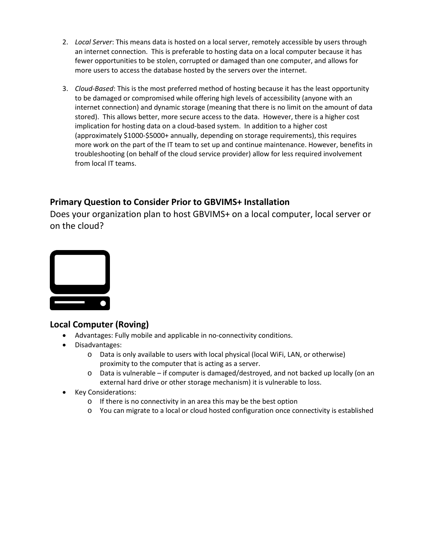- 2. *Local Server*: This means data is hosted on a local server, remotely accessible by users through an internet connection. This is preferable to hosting data on a local computer because it has fewer opportunities to be stolen, corrupted or damaged than one computer, and allows for more users to access the database hosted by the servers over the internet.
- 3. *Cloud-Based*: This is the most preferred method of hosting because it has the least opportunity to be damaged or compromised while offering high levels of accessibility (anyone with an internet connection) and dynamic storage (meaning that there is no limit on the amount of data stored). This allows better, more secure access to the data. However, there is a higher cost implication for hosting data on a cloud-based system. In addition to a higher cost (approximately \$1000-\$5000+ annually, depending on storage requirements), this requires more work on the part of the IT team to set up and continue maintenance. However, benefits in troubleshooting (on behalf of the cloud service provider) allow for less required involvement from local IT teams.

## **Primary Question to Consider Prior to GBVIMS+ Installation**

Does your organization plan to host GBVIMS+ on a local computer, local server or on the cloud?



## **Local Computer (Roving)**

- Advantages: Fully mobile and applicable in no-connectivity conditions.
- Disadvantages:
	- o Data is only available to users with local physical (local WiFi, LAN, or otherwise) proximity to the computer that is acting as a server.
	- o Data is vulnerable if computer is damaged/destroyed, and not backed up locally (on an external hard drive or other storage mechanism) it is vulnerable to loss.
- Key Considerations:
	- o If there is no connectivity in an area this may be the best option
	- o You can migrate to a local or cloud hosted configuration once connectivity is established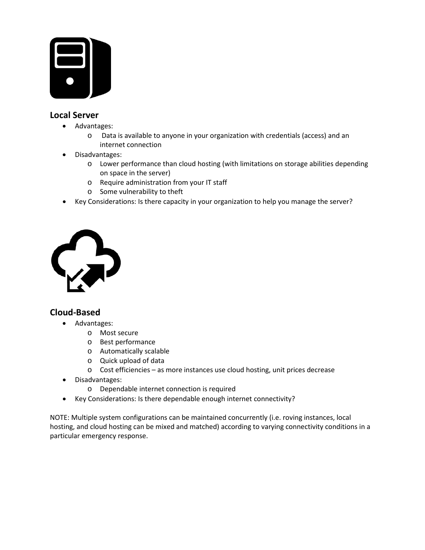

## **Local Server**

- Advantages:
	- o Data is available to anyone in your organization with credentials (access) and an internet connection
- Disadvantages:
	- o Lower performance than cloud hosting (with limitations on storage abilities depending on space in the server)
	- o Require administration from your IT staff
	- o Some vulnerability to theft
- Key Considerations: Is there capacity in your organization to help you manage the server?



## **Cloud-Based**

- Advantages:
	- o Most secure
	- o Best performance
	- o Automatically scalable
	- o Quick upload of data
	- o Cost efficiencies as more instances use cloud hosting, unit prices decrease
- Disadvantages:
	- o Dependable internet connection is required
- Key Considerations: Is there dependable enough internet connectivity?

NOTE: Multiple system configurations can be maintained concurrently (i.e. roving instances, local hosting, and cloud hosting can be mixed and matched) according to varying connectivity conditions in a particular emergency response.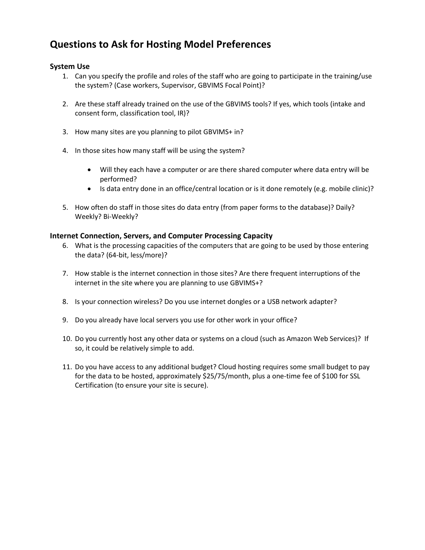# **Questions to Ask for Hosting Model Preferences**

### **System Use**

- 1. Can you specify the profile and roles of the staff who are going to participate in the training/use the system? (Case workers, Supervisor, GBVIMS Focal Point)?
- 2. Are these staff already trained on the use of the GBVIMS tools? If yes, which tools (intake and consent form, classification tool, IR)?
- 3. How many sites are you planning to pilot GBVIMS+ in?
- 4. In those sites how many staff will be using the system?
	- Will they each have a computer or are there shared computer where data entry will be performed?
	- Is data entry done in an office/central location or is it done remotely (e.g. mobile clinic)?
- 5. How often do staff in those sites do data entry (from paper forms to the database)? Daily? Weekly? Bi-Weekly?

### **Internet Connection, Servers, and Computer Processing Capacity**

- 6. What is the processing capacities of the computers that are going to be used by those entering the data? (64-bit, less/more)?
- 7. How stable is the internet connection in those sites? Are there frequent interruptions of the internet in the site where you are planning to use GBVIMS+?
- 8. Is your connection wireless? Do you use internet dongles or a USB network adapter?
- 9. Do you already have local servers you use for other work in your office?
- 10. Do you currently host any other data or systems on a cloud (such as Amazon Web Services)? If so, it could be relatively simple to add.
- 11. Do you have access to any additional budget? Cloud hosting requires some small budget to pay for the data to be hosted, approximately \$25/75/month, plus a one-time fee of \$100 for SSL Certification (to ensure your site is secure).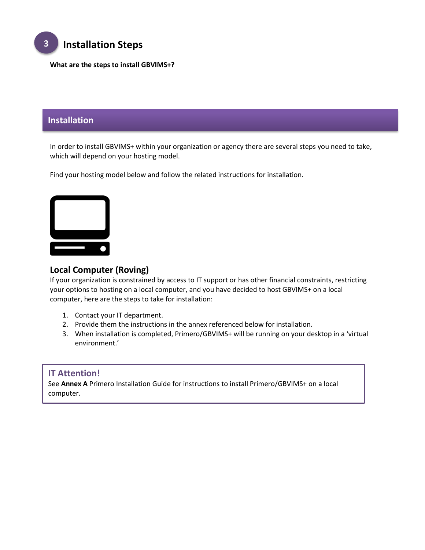

**What are the steps to install GBVIMS+?**

## **Installation**

In order to install GBVIMS+ within your organization or agency there are several steps you need to take, which will depend on your hosting model.

Find your hosting model below and follow the related instructions for installation.



## **Local Computer (Roving)**

If your organization is constrained by access to IT support or has other financial constraints, restricting your options to hosting on a local computer, and you have decided to host GBVIMS+ on a local computer, here are the steps to take for installation:

- 1. Contact your IT department.
- 2. Provide them the instructions in the annex referenced below for installation.
- 3. When installation is completed, Primero/GBVIMS+ will be running on your desktop in a 'virtual environment.'

### **IT Attention!**

See **Annex A** Primero Installation Guide for instructions to install Primero/GBVIMS+ on a local computer.